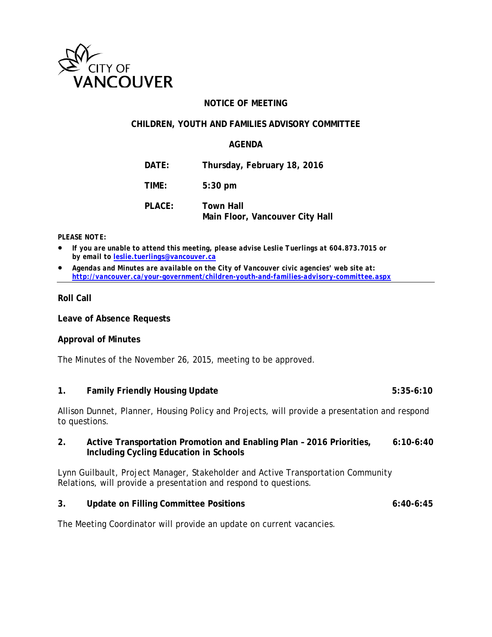

## **NOTICE OF MEETING**

## **CHILDREN, YOUTH AND FAMILIES ADVISORY COMMITTEE**

## **AGENDA**

| DATE:  | Thursday, February 18, 2016                  |
|--------|----------------------------------------------|
| TIME:  | $5:30$ pm                                    |
| PLACE: | Town Hall<br>Main Floor, Vancouver City Hall |

#### *PLEASE NOTE:*

- *If you are unable to attend this meeting, please advise Leslie Tuerlings at 604.873.7015 or by email to [leslie.tuerlings@vancouver.ca](mailto:leslie.tuerlings@vancouver.ca)*
- *Agendas and Minutes are available on the City of Vancouver civic agencies' web site at: <http://vancouver.ca/your-government/children-youth-and-families-advisory-committee.aspx>*

## **Roll Call**

**Leave of Absence Requests**

#### **Approval of Minutes**

The Minutes of the November 26, 2015, meeting to be approved.

# **1. Family Friendly Housing Update 5:35-6:10**

Allison Dunnet, Planner, Housing Policy and Projects, will provide a presentation and respond to questions.

## **2. Active Transportation Promotion and Enabling Plan – 2016 Priorities, 6:10-6:40 Including Cycling Education in Schools**

Lynn Guilbault, Project Manager, Stakeholder and Active Transportation Community Relations, will provide a presentation and respond to questions.

## **3. Update on Filling Committee Positions 6:40-6:45**

The Meeting Coordinator will provide an update on current vacancies.